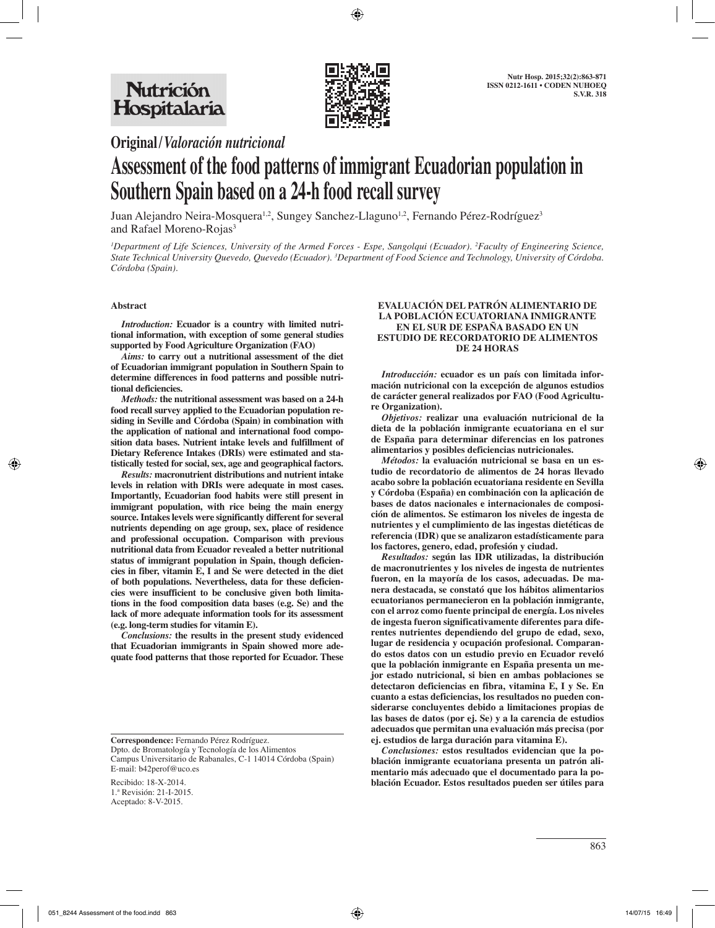

**Original/***Valoración nutricional*

# **Assessment of the food patterns of immigrant Ecuadorian population in Southern Spain based on a 24-h food recall survey**

Juan Alejandro Neira-Mosquera<sup>1,2</sup>, Sungey Sanchez-Llaguno<sup>1,2</sup>, Fernando Pérez-Rodríguez<sup>3</sup> and Rafael Moreno-Rojas<sup>3</sup>

*1 Department of Life Sciences, University of the Armed Forces - Espe, Sangolqui (Ecuador). 2 Faculty of Engineering Science, State Technical University Quevedo, Quevedo (Ecuador). 3 Department of Food Science and Technology, University of Córdoba. Córdoba (Spain).*

## **Abstract**

*Introduction:* **Ecuador is a country with limited nutritional information, with exception of some general studies supported by Food Agriculture Organization (FAO)**

*Aims:* **to carry out a nutritional assessment of the diet of Ecuadorian immigrant population in Southern Spain to determine differences in food patterns and possible nutritional deficiencies.**

*Methods:* **the nutritional assessment was based on a 24-h food recall survey applied to the Ecuadorian population residing in Seville and Córdoba (Spain) in combination with the application of national and international food composition data bases. Nutrient intake levels and fulfillment of Dietary Reference Intakes (DRIs) were estimated and statistically tested for social, sex, age and geographical factors.**

*Results:* **macronutrient distributions and nutrient intake levels in relation with DRIs were adequate in most cases. Importantly, Ecuadorian food habits were still present in immigrant population, with rice being the main energy source. Intakes levels were significantly different for several nutrients depending on age group, sex, place of residence and professional occupation. Comparison with previous nutritional data from Ecuador revealed a better nutritional status of immigrant population in Spain, though deficiencies in fiber, vitamin E, I and Se were detected in the diet of both populations. Nevertheless, data for these deficiencies were insufficient to be conclusive given both limitations in the food composition data bases (e.g. Se) and the lack of more adequate information tools for its assessment (e.g. long-term studies for vitamin E).** 

*Conclusions:* **the results in the present study evidenced that Ecuadorian immigrants in Spain showed more adequate food patterns that those reported for Ecuador. These** 

## **EVALUACIÓN DEL PATRÓN ALIMENTARIO DE LA POBLACIÓN ECUATORIANA INMIGRANTE EN EL SUR DE ESPAÑA BASADO EN UN ESTUDIO DE RECORDATORIO DE ALIMENTOS DE 24 HORAS**

*Introducción:* **ecuador es un país con limitada información nutricional con la excepción de algunos estudios de carácter general realizados por FAO (Food Agriculture Organization).**

*Objetivos:* **realizar una evaluación nutricional de la dieta de la población inmigrante ecuatoriana en el sur de España para determinar diferencias en los patrones alimentarios y posibles deficiencias nutricionales.**

*Métodos:* **la evaluación nutricional se basa en un estudio de recordatorio de alimentos de 24 horas llevado acabo sobre la población ecuatoriana residente en Sevilla y Córdoba (España) en combinación con la aplicación de bases de datos nacionales e internacionales de composición de alimentos. Se estimaron los niveles de ingesta de nutrientes y el cumplimiento de las ingestas dietéticas de referencia (IDR) que se analizaron estadísticamente para los factores, genero, edad, profesión y ciudad.**

*Resultados:* **según las IDR utilizadas, la distribución de macronutrientes y los niveles de ingesta de nutrientes fueron, en la mayoría de los casos, adecuadas. De manera destacada, se constató que los hábitos alimentarios ecuatorianos permanecieron en la población inmigrante, con el arroz como fuente principal de energía. Los niveles de ingesta fueron significativamente diferentes para diferentes nutrientes dependiendo del grupo de edad, sexo, lugar de residencia y ocupación profesional. Comparando estos datos con un estudio previo en Ecuador reveló que la población inmigrante en España presenta un mejor estado nutricional, si bien en ambas poblaciones se detectaron deficiencias en fibra, vitamina E, I y Se. En cuanto a estas deficiencias, los resultados no pueden considerarse concluyentes debido a limitaciones propias de las bases de datos (por ej. Se) y a la carencia de estudios adecuados que permitan una evaluación más precisa (por ej. estudios de larga duración para vitamina E).**

*Conclusiones:* **estos resultados evidencian que la población inmigrante ecuatoriana presenta un patrón alimentario más adecuado que el documentado para la población Ecuador. Estos resultados pueden ser útiles para** 

**Correspondence:** Fernando Pérez Rodríguez.

Dpto. de Bromatología y Tecnología de los Alimentos Campus Universitario de Rabanales, C-1 14014 Córdoba (Spain) E-mail: b42perof@uco.es

Recibido: 18-X-2014. 1.ª Revisión: 21-I-2015. Aceptado: 8-V-2015.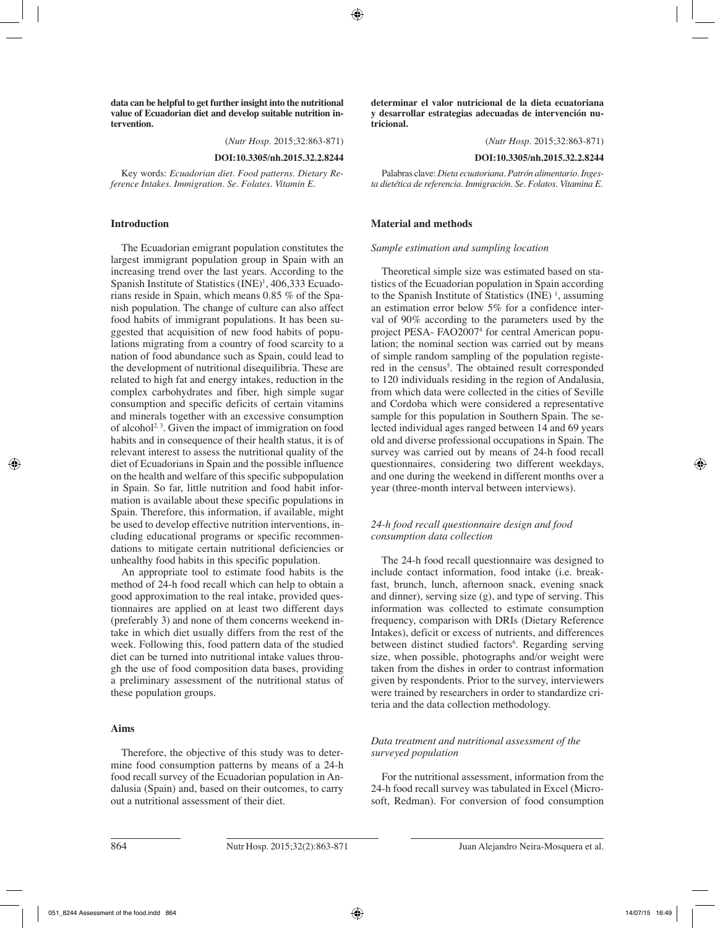**data can be helpful to get further insight into the nutritional value of Ecuadorian diet and develop suitable nutrition intervention.**

(*Nutr Hosp.* 2015;32:863-871)

**DOI:10.3305/nh.2015.32.2.8244**

Key words: *Ecuadorian diet. Food patterns. Dietary Reference Intakes. Immigration. Se. Folates. Vitamin E.*

#### **Introduction**

The Ecuadorian emigrant population constitutes the largest immigrant population group in Spain with an increasing trend over the last years. According to the Spanish Institute of Statistics (INE)<sup>1</sup>, 406,333 Ecuadorians reside in Spain, which means 0.85 % of the Spanish population. The change of culture can also affect food habits of immigrant populations. It has been suggested that acquisition of new food habits of populations migrating from a country of food scarcity to a nation of food abundance such as Spain, could lead to the development of nutritional disequilibria. These are related to high fat and energy intakes, reduction in the complex carbohydrates and fiber, high simple sugar consumption and specific deficits of certain vitamins and minerals together with an excessive consumption of alcohol<sup>2, 3</sup>. Given the impact of immigration on food habits and in consequence of their health status, it is of relevant interest to assess the nutritional quality of the diet of Ecuadorians in Spain and the possible influence on the health and welfare of this specific subpopulation in Spain. So far, little nutrition and food habit information is available about these specific populations in Spain. Therefore, this information, if available, might be used to develop effective nutrition interventions, including educational programs or specific recommendations to mitigate certain nutritional deficiencies or unhealthy food habits in this specific population.

An appropriate tool to estimate food habits is the method of 24-h food recall which can help to obtain a good approximation to the real intake, provided questionnaires are applied on at least two different days (preferably 3) and none of them concerns weekend intake in which diet usually differs from the rest of the week. Following this, food pattern data of the studied diet can be turned into nutritional intake values through the use of food composition data bases, providing a preliminary assessment of the nutritional status of these population groups.

#### **Aims**

Therefore, the objective of this study was to determine food consumption patterns by means of a 24-h food recall survey of the Ecuadorian population in Andalusia (Spain) and, based on their outcomes, to carry out a nutritional assessment of their diet.

**determinar el valor nutricional de la dieta ecuatoriana y desarrollar estrategias adecuadas de intervención nutricional.**

(*Nutr Hosp.* 2015;32:863-871)

**DOI:10.3305/nh.2015.32.2.8244**

Palabras clave: *Dieta ecuatoriana. Patrón alimentario. Ingesta dietética de referencia. Inmigración. Se. Folatos. Vitamina E.*

#### **Material and methods**

#### *Sample estimation and sampling location*

Theoretical simple size was estimated based on statistics of the Ecuadorian population in Spain according to the Spanish Institute of Statistics  $(INE)^1$ , assuming an estimation error below 5% for a confidence interval of 90% according to the parameters used by the project PESA- FAO2007<sup>4</sup> for central American population; the nominal section was carried out by means of simple random sampling of the population registered in the census<sup>5</sup>. The obtained result corresponded to 120 individuals residing in the region of Andalusia, from which data were collected in the cities of Seville and Cordoba which were considered a representative sample for this population in Southern Spain. The selected individual ages ranged between 14 and 69 years old and diverse professional occupations in Spain. The survey was carried out by means of 24-h food recall questionnaires, considering two different weekdays, and one during the weekend in different months over a year (three-month interval between interviews).

## *24-h food recall questionnaire design and food consumption data collection*

The 24-h food recall questionnaire was designed to include contact information, food intake (i.e. breakfast, brunch, lunch, afternoon snack, evening snack and dinner), serving size (g), and type of serving. This information was collected to estimate consumption frequency, comparison with DRIs (Dietary Reference Intakes), deficit or excess of nutrients, and differences between distinct studied factors<sup>6</sup>. Regarding serving size, when possible, photographs and/or weight were taken from the dishes in order to contrast information given by respondents. Prior to the survey, interviewers were trained by researchers in order to standardize criteria and the data collection methodology.

## *Data treatment and nutritional assessment of the surveyed population*

For the nutritional assessment, information from the 24-h food recall survey was tabulated in Excel (Microsoft, Redman). For conversion of food consumption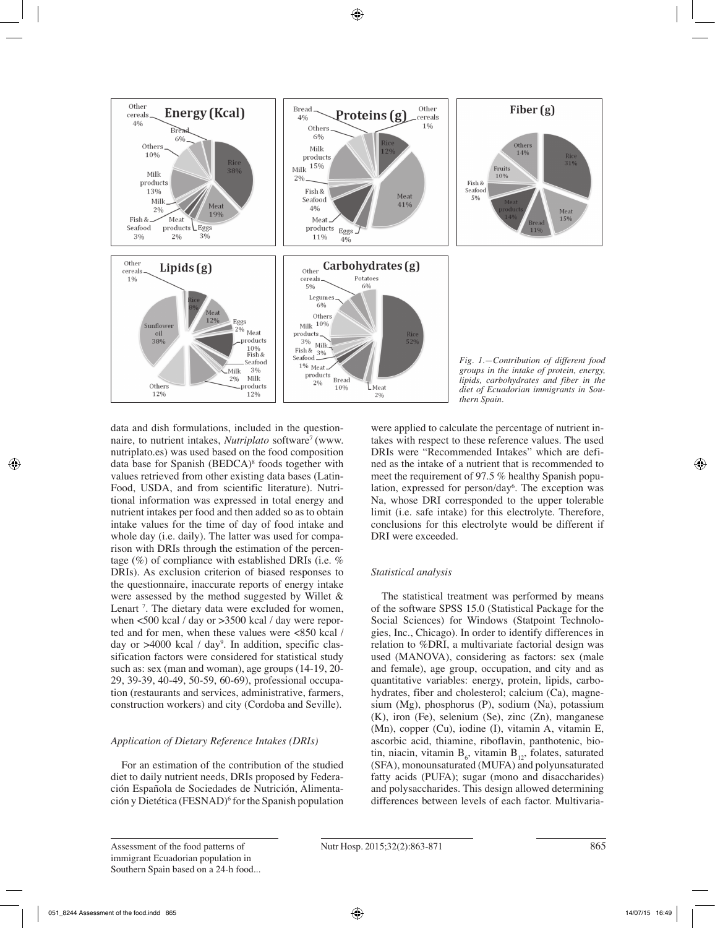

data and dish formulations, included in the questionnaire, to nutrient intakes, *Nutriplato* software<sup>7</sup> (www. nutriplato.es) was used based on the food composition data base for Spanish (BEDCA)<sup>8</sup> foods together with values retrieved from other existing data bases (Latin-Food, USDA, and from scientific literature). Nutritional information was expressed in total energy and nutrient intakes per food and then added so as to obtain intake values for the time of day of food intake and whole day (i.e. daily). The latter was used for comparison with DRIs through the estimation of the percentage (%) of compliance with established DRIs (i.e. % DRIs). As exclusion criterion of biased responses to the questionnaire, inaccurate reports of energy intake were assessed by the method suggested by Willet & Lenart<sup>7</sup>. The dietary data were excluded for women, when <500 kcal / day or >3500 kcal / day were reported and for men, when these values were <850 kcal / day or >4000 kcal / day<sup>9</sup>. In addition, specific classification factors were considered for statistical study such as: sex (man and woman), age groups (14-19, 20- 29, 39-39, 40-49, 50-59, 60-69), professional occupation (restaurants and services, administrative, farmers, construction workers) and city (Cordoba and Seville).

## *Application of Dietary Reference Intakes (DRIs)*

For an estimation of the contribution of the studied diet to daily nutrient needs, DRIs proposed by Federación Española de Sociedades de Nutrición, Alimentación y Dietética (FESNAD)6 for the Spanish population were applied to calculate the percentage of nutrient intakes with respect to these reference values. The used DRIs were "Recommended Intakes" which are defined as the intake of a nutrient that is recommended to meet the requirement of 97.5 % healthy Spanish population, expressed for person/day<sup>6</sup>. The exception was Na, whose DRI corresponded to the upper tolerable limit (i.e. safe intake) for this electrolyte. Therefore, conclusions for this electrolyte would be different if DRI were exceeded.

# *Statistical analysis*

The statistical treatment was performed by means of the software SPSS 15.0 (Statistical Package for the Social Sciences) for Windows (Statpoint Technologies, Inc., Chicago). In order to identify differences in relation to %DRI, a multivariate factorial design was used (MANOVA), considering as factors: sex (male and female), age group, occupation, and city and as quantitative variables: energy, protein, lipids, carbohydrates, fiber and cholesterol; calcium (Ca), magnesium (Mg), phosphorus (P), sodium (Na), potassium (K), iron (Fe), selenium (Se), zinc (Zn), manganese (Mn), copper (Cu), iodine (I), vitamin A, vitamin E, ascorbic acid, thiamine, riboflavin, panthotenic, biotin, niacin, vitamin  $B_6$ , vitamin  $B_{12}$ , folates, saturated (SFA), monounsaturated (MUFA) and polyunsaturated fatty acids (PUFA); sugar (mono and disaccharides) and polysaccharides. This design allowed determining differences between levels of each factor. Multivaria-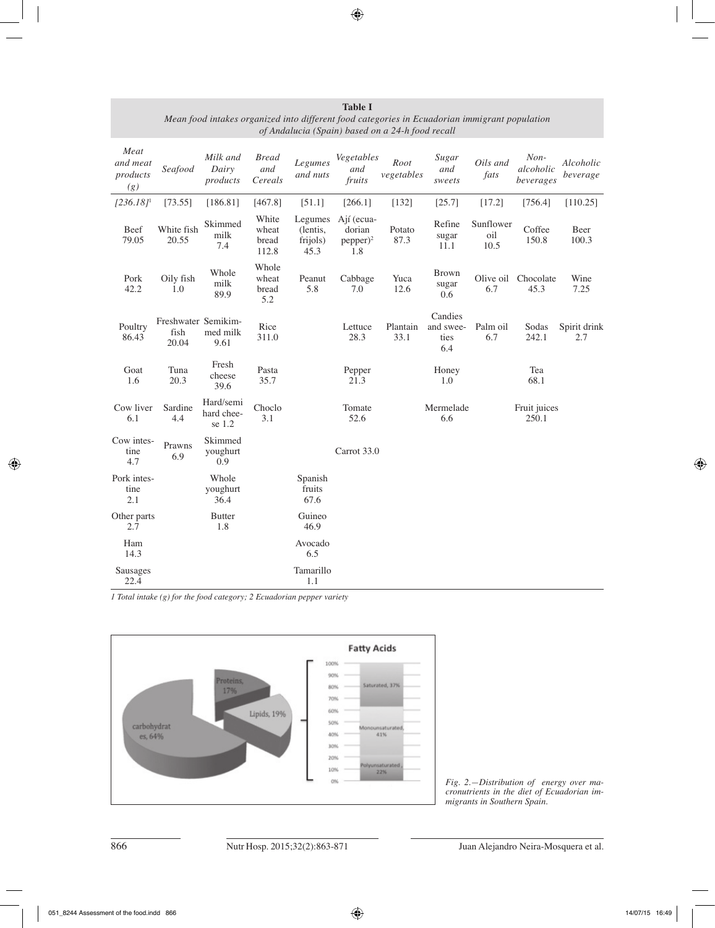| Meat<br>and meat<br>products<br>(g) | Seafood                              | Milk and<br>Dairy<br>products     | <b>Bread</b><br>and<br>Cereals   | Legumes<br>and nuts                     | Vegetables<br>and<br>fruits                | Root<br>vegetables | Sugar<br>and<br>sweets              | Oils and<br>fats         | $Non-$<br>alcoholic<br>beverages | Alcoholic<br>beverage |
|-------------------------------------|--------------------------------------|-----------------------------------|----------------------------------|-----------------------------------------|--------------------------------------------|--------------------|-------------------------------------|--------------------------|----------------------------------|-----------------------|
| $[236.18]$ <sup>1</sup>             | [73.55]                              | [186.81]                          | [467.8]                          | [51.1]                                  | [266.1]                                    | [132]              | [25.7]                              | [17.2]                   | [756.4]                          | [110.25]              |
| Beef<br>79.05                       | White fish<br>20.55                  | Skimmed<br>milk<br>7.4            | White<br>wheat<br>bread<br>112.8 | Legumes<br>(lentis,<br>frijols)<br>45.3 | Ají (ecua-<br>dorian<br>$pepper)^2$<br>1.8 | Potato<br>87.3     | Refine<br>sugar<br>11.1             | Sunflower<br>oil<br>10.5 | Coffee<br>150.8                  | Beer<br>100.3         |
| Pork<br>42.2                        | Oily fish<br>1.0                     | Whole<br>milk<br>89.9             | Whole<br>wheat<br>bread<br>5.2   | Peanut<br>5.8                           | Cabbage<br>7.0                             | Yuca<br>12.6       | <b>Brown</b><br>sugar<br>0.6        | Olive oil<br>6.7         | Chocolate<br>45.3                | Wine<br>7.25          |
| Poultry<br>86.43                    | Freshwater Semikim-<br>fish<br>20.04 | med milk<br>9.61                  | Rice<br>311.0                    |                                         | Lettuce<br>28.3                            | Plantain<br>33.1   | Candies<br>and swee-<br>ties<br>6.4 | Palm oil<br>6.7          | Sodas<br>242.1                   | Spirit drink<br>2.7   |
| Goat<br>1.6                         | Tuna<br>20.3                         | Fresh<br>cheese<br>39.6           | Pasta<br>35.7                    |                                         | Pepper<br>21.3                             |                    | Honey<br>1.0                        |                          | Tea<br>68.1                      |                       |
| Cow liver<br>6.1                    | Sardine<br>4.4                       | Hard/semi<br>hard chee-<br>se 1.2 | Choclo<br>3.1                    |                                         | Tomate<br>52.6                             |                    | Mermelade<br>6.6                    |                          | Fruit juices<br>250.1            |                       |
| Cow intes-<br>tine<br>4.7           | Prawns<br>6.9                        | Skimmed<br>youghurt<br>0.9        |                                  |                                         | Carrot 33.0                                |                    |                                     |                          |                                  |                       |
| Pork intes-<br>tine<br>2.1          |                                      | Whole<br>youghurt<br>36.4         |                                  | Spanish<br>fruits<br>67.6               |                                            |                    |                                     |                          |                                  |                       |
| Other parts<br>2.7                  |                                      | <b>Butter</b><br>1.8              |                                  | Guineo<br>46.9                          |                                            |                    |                                     |                          |                                  |                       |
| Ham<br>14.3                         |                                      |                                   |                                  | Avocado<br>6.5                          |                                            |                    |                                     |                          |                                  |                       |
| Sausages<br>22.4                    |                                      |                                   |                                  | Tamarillo<br>1.1                        |                                            |                    |                                     |                          |                                  |                       |

**Table I** *Mean food intakes organized into different food categories in Ecuadorian immigrant population of Andalucia (Spain) based on a 24-h food recall* 

*1 Total intake (g) for the food category; 2 Ecuadorian pepper variety*



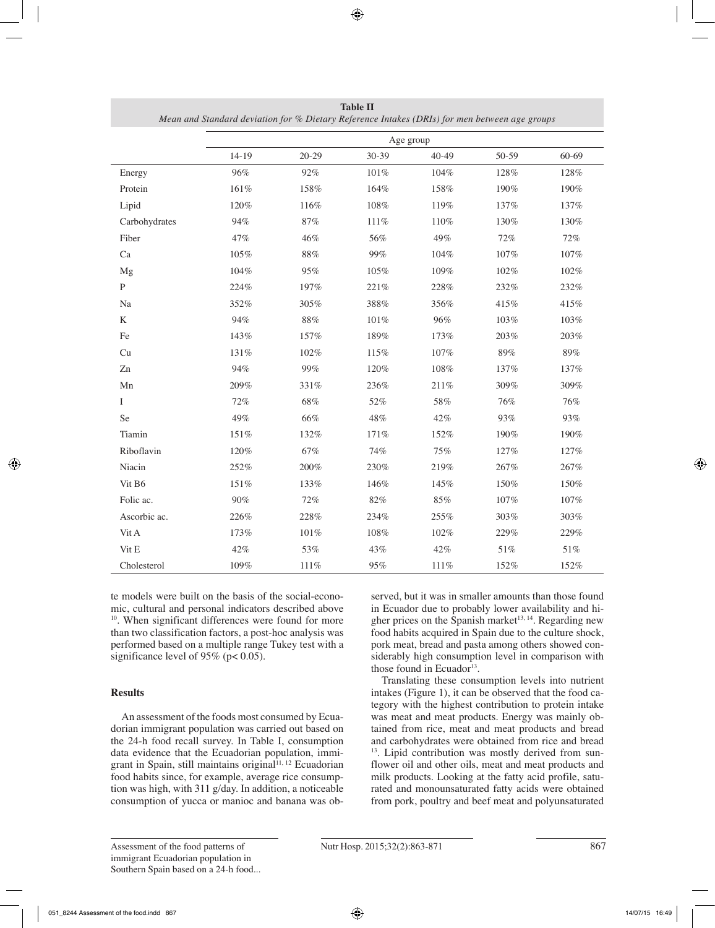|                    | Age group |           |         |           |       |           |  |
|--------------------|-----------|-----------|---------|-----------|-------|-----------|--|
|                    | 14-19     | $20 - 29$ | 30-39   | $40 - 49$ | 50-59 | $60 - 69$ |  |
| Energy             | 96%       | 92%       | $101\%$ | 104%      | 128%  | 128%      |  |
| Protein            | 161%      | 158%      | 164%    | 158%      | 190%  | 190%      |  |
| Lipid              | 120%      | 116%      | 108%    | 119%      | 137%  | 137%      |  |
| Carbohydrates      | 94%       | 87%       | $111\%$ | 110%      | 130%  | 130%      |  |
| Fiber              | 47%       | 46%       | 56%     | 49%       | 72%   | 72%       |  |
| Ca                 | 105%      | 88%       | 99%     | 104%      | 107%  | 107%      |  |
| Mg                 | 104%      | 95%       | 105%    | 109%      | 102%  | 102%      |  |
| $\mathbf{P}$       | 224%      | 197%      | 221%    | 228%      | 232%  | 232%      |  |
| Na                 | 352%      | 305%      | 388%    | 356%      | 415%  | 415%      |  |
| $\rm K$            | 94%       | $88\%$    | $101\%$ | 96%       | 103%  | 103%      |  |
| Fe                 | 143%      | 157%      | 189%    | 173%      | 203%  | 203%      |  |
| Cu                 | 131%      | 102%      | 115%    | 107%      | 89%   | 89%       |  |
| Zn                 | 94%       | 99%       | 120%    | $108\%$   | 137%  | 137%      |  |
| Mn                 | 209%      | 331%      | 236%    | 211%      | 309%  | 309%      |  |
| I                  | 72%       | 68%       | 52%     | 58%       | 76%   | 76%       |  |
| Se                 | 49%       | 66%       | 48%     | 42%       | 93%   | 93%       |  |
| Tiamin             | 151%      | 132%      | 171%    | 152%      | 190%  | 190%      |  |
| Riboflavin         | 120%      | 67%       | 74%     | 75%       | 127%  | 127%      |  |
| Niacin             | 252%      | 200%      | 230%    | 219%      | 267%  | 267%      |  |
| Vit B <sub>6</sub> | 151%      | 133%      | 146%    | 145%      | 150%  | 150%      |  |
| Folic ac.          | 90%       | 72%       | 82%     | 85%       | 107%  | 107%      |  |
| Ascorbic ac.       | 226%      | 228%      | 234%    | 255%      | 303%  | 303%      |  |
| Vit A              | 173%      | 101%      | 108%    | 102%      | 229%  | 229%      |  |
| Vit E              | 42%       | 53%       | 43%     | 42%       | 51%   | 51%       |  |
| Cholesterol        | 109%      | 111%      | 95%     | 111%      | 152%  | 152%      |  |

**Table II** *Mean and Standard deviation for % Dietary Reference Intakes (DRIs) for men between age groups*

te models were built on the basis of the social-economic, cultural and personal indicators described above <sup>10</sup>. When significant differences were found for more than two classification factors, a post-hoc analysis was performed based on a multiple range Tukey test with a significance level of 95% ( $p < 0.05$ ).

# **Results**

An assessment of the foods most consumed by Ecuadorian immigrant population was carried out based on the 24-h food recall survey. In Table I, consumption data evidence that the Ecuadorian population, immigrant in Spain, still maintains original<sup>11, 12</sup> Ecuadorian food habits since, for example, average rice consumption was high, with 311 g/day. In addition, a noticeable consumption of yucca or manioc and banana was observed, but it was in smaller amounts than those found in Ecuador due to probably lower availability and higher prices on the Spanish market<sup>13, 14</sup>. Regarding new food habits acquired in Spain due to the culture shock, pork meat, bread and pasta among others showed considerably high consumption level in comparison with those found in Ecuador $^{13}$ .

Translating these consumption levels into nutrient intakes (Figure 1), it can be observed that the food category with the highest contribution to protein intake was meat and meat products. Energy was mainly obtained from rice, meat and meat products and bread and carbohydrates were obtained from rice and bread <sup>13</sup>. Lipid contribution was mostly derived from sunflower oil and other oils, meat and meat products and milk products. Looking at the fatty acid profile, saturated and monounsaturated fatty acids were obtained from pork, poultry and beef meat and polyunsaturated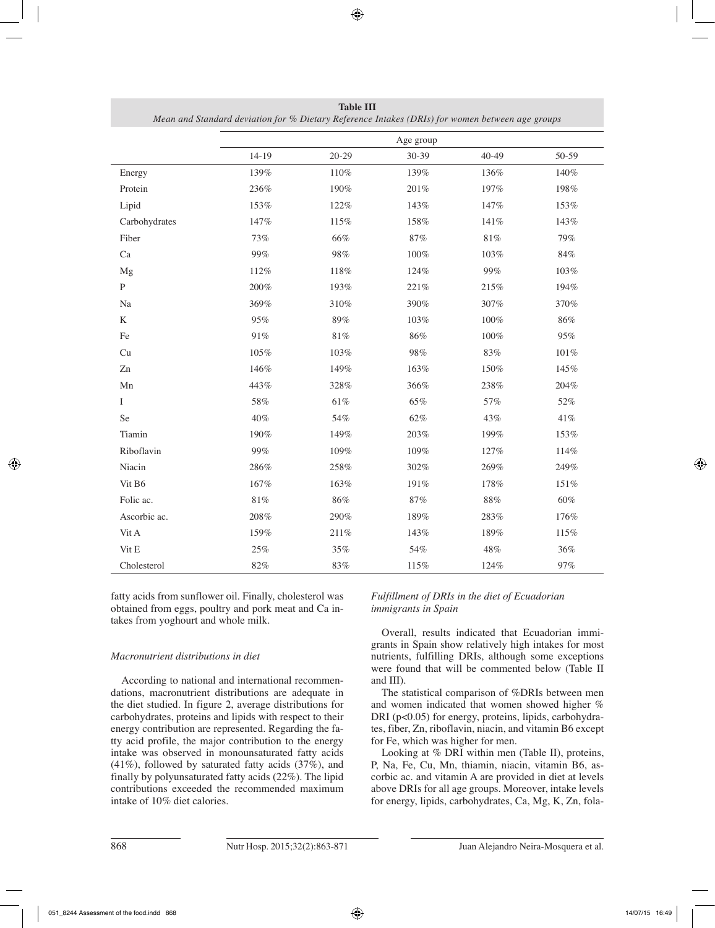|               |         |           | Age group |           |        |
|---------------|---------|-----------|-----------|-----------|--------|
|               | $14-19$ | $20 - 29$ | 30-39     | $40 - 49$ | 50-59  |
| Energy        | 139%    | 110%      | 139%      | 136%      | 140%   |
| Protein       | 236%    | 190%      | $201\%$   | 197%      | 198%   |
| Lipid         | 153%    | 122%      | 143%      | 147%      | 153%   |
| Carbohydrates | 147%    | 115%      | 158%      | $141\%$   | 143%   |
| Fiber         | 73%     | 66%       | 87%       | $81\%$    | 79%    |
| Ca            | 99%     | 98%       | 100%      | 103%      | 84%    |
| Mg            | 112%    | 118%      | 124%      | 99%       | 103%   |
| ${\bf P}$     | 200%    | 193%      | 221%      | 215%      | 194%   |
| $\rm Na$      | 369%    | 310%      | 390%      | 307%      | 370%   |
| $\rm K$       | 95%     | 89%       | 103%      | $100\%$   | 86%    |
| Fe            | $91\%$  | 81%       | 86%       | 100%      | 95%    |
| Cu            | 105%    | 103%      | 98%       | 83%       | 101%   |
| Zn            | 146%    | 149%      | 163%      | 150%      | 145%   |
| Mn            | 443%    | 328%      | 366%      | 238%      | 204%   |
| Ι             | 58%     | 61%       | 65%       | 57%       | $52\%$ |
| Se            | 40%     | 54%       | 62%       | 43%       | 41%    |
| Tiamin        | 190%    | 149%      | 203%      | 199%      | 153%   |
| Riboflavin    | 99%     | 109%      | 109%      | 127%      | 114%   |
| Niacin        | 286%    | 258%      | 302%      | 269%      | 249%   |
| Vit B6        | 167%    | 163%      | 191%      | 178%      | 151%   |
| Folic ac.     | $81\%$  | $86\%$    | 87%       | $88\%$    | 60%    |
| Ascorbic ac.  | 208%    | 290%      | 189%      | 283%      | 176%   |
| Vit A         | 159%    | 211%      | 143%      | 189%      | 115%   |
| Vit E         | 25%     | 35%       | 54%       | 48%       | 36%    |
| Cholesterol   | $82\%$  | 83%       | 115%      | 124%      | 97%    |

**Table III** *Mean and Standard deviation for % Dietary Reference Intakes (DRIs) for women between age groups*

fatty acids from sunflower oil. Finally, cholesterol was obtained from eggs, poultry and pork meat and Ca intakes from yoghourt and whole milk.

# *Macronutrient distributions in diet*

According to national and international recommendations, macronutrient distributions are adequate in the diet studied. In figure 2, average distributions for carbohydrates, proteins and lipids with respect to their energy contribution are represented. Regarding the fatty acid profile, the major contribution to the energy intake was observed in monounsaturated fatty acids (41%), followed by saturated fatty acids (37%), and finally by polyunsaturated fatty acids (22%). The lipid contributions exceeded the recommended maximum intake of 10% diet calories.

*Fulfillment of DRIs in the diet of Ecuadorian immigrants in Spain*

Overall, results indicated that Ecuadorian immigrants in Spain show relatively high intakes for most nutrients, fulfilling DRIs, although some exceptions were found that will be commented below (Table II and III).

The statistical comparison of %DRIs between men and women indicated that women showed higher % DRI (p<0.05) for energy, proteins, lipids, carbohydrates, fiber, Zn, riboflavin, niacin, and vitamin B6 except for Fe, which was higher for men.

Looking at % DRI within men (Table II), proteins, P, Na, Fe, Cu, Mn, thiamin, niacin, vitamin B6, ascorbic ac. and vitamin A are provided in diet at levels above DRIs for all age groups. Moreover, intake levels for energy, lipids, carbohydrates, Ca, Mg, K, Zn, fola-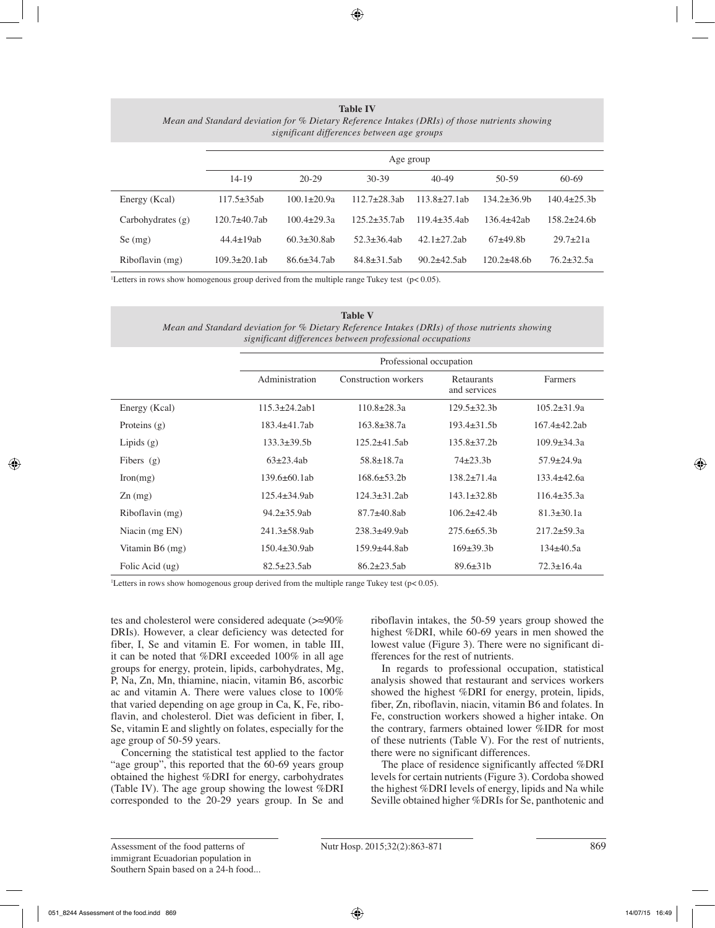**Table IV** *Mean and Standard deviation for % Dietary Reference Intakes (DRIs) of those nutrients showing significant differences between age groups*

|                     | Age group           |                    |                    |                    |                |                  |  |
|---------------------|---------------------|--------------------|--------------------|--------------------|----------------|------------------|--|
|                     | $14 - 19$           | $20-29$            | $30-39$            | $40 - 49$          | $50-59$        | 60-69            |  |
| Energy (Kcal)       | $117.5 + 35ab$      | $100.1 \pm 20.9a$  | $112.7 + 28.3$ ab  | $113.8 + 27.1ab$   | 134.2±36.9b    | $140.4 \pm 25.3$ |  |
| Carbohydrates $(g)$ | $120.7 + 40.7$ ab   | $100.4 + 29.3a$    | $125.2 + 35.7$ ab  | $119.4 + 35.4$ ab  | $136.4 + 42ab$ | $158.2 + 24.6$ h |  |
| Se(mg)              | $44.4 \pm 19ab$     | $60.3 + 30.8$ ab   | $52.3 + 36.4$ ab   | $42.1 + 27.2$ ab   | $67+49.8b$     | $29.7 + 21a$     |  |
| Riboflavin (mg)     | $109.3 \pm 20.1$ ab | $86.6 \pm 34.7$ ab | $84.8 \pm 31.5$ ab | $90.2 \pm 42.5$ ab | 120.2±48.6b    | $76.2 \pm 32.5a$ |  |

1 Letters in rows show homogenous group derived from the multiple range Tukey test (p< 0.05).

| <b>Table V</b>                                                                                |
|-----------------------------------------------------------------------------------------------|
| Mean and Standard deviation for % Dietary Reference Intakes (DRIs) of those nutrients showing |
| significant differences between professional occupations                                      |

|                 | Professional occupation |                      |                            |                     |  |  |  |  |
|-----------------|-------------------------|----------------------|----------------------------|---------------------|--|--|--|--|
|                 | Administration          | Construction workers | Retaurants<br>and services | Farmers             |  |  |  |  |
| Energy (Kcal)   | $115.3 \pm 24.2$ ab1    | $110.8 \pm 28.3a$    | $129.5 \pm 32.3 b$         | $105.2 \pm 31.9a$   |  |  |  |  |
| Proteins $(g)$  | $183.4 \pm 41.7$ ab     | $163.8 \pm 38.7a$    | $193.4 \pm 31.5$ h         | $167.4 \pm 42.2$ ab |  |  |  |  |
| Lipids $(g)$    | $133.3 \pm 39.5$ h      | $125.2\pm41.5ab$     | $135.8 \pm 37.2 h$         | $109.9 \pm 34.3a$   |  |  |  |  |
| Fibers $(g)$    | $63\pm 23.4ab$          | $58.8 \pm 18.7a$     | $74\pm 23.3h$              | 57.9±24.9a          |  |  |  |  |
| Iron(mg)        | $139.6 \pm 60.1$ ab     | $168.6 \pm 53.2$     | $138.2 + 71.4a$            | $133.4 \pm 42.6a$   |  |  |  |  |
| $Zn$ (mg)       | $125.4 \pm 34.9$ ab     | $124.3 \pm 31.2$ ab  | $143.1 \pm 32.8$ h         | $116.4 \pm 35.3a$   |  |  |  |  |
| Riboflavin (mg) | $94.2 \pm 35.9$ ab      | $87.7 \pm 40.8$ ab   | $106.2 \pm 42.4$           | $81.3 \pm 30.1a$    |  |  |  |  |
| Niacin (mg EN)  | $241.3 \pm 58.9$ ab     | $238.3 \pm 49.9$ ab  | $275.6 \pm 65.3$ h         | $217.2 \pm 59.3a$   |  |  |  |  |
| Vitamin B6 (mg) | $150.4 \pm 30.9$ ab     | 159.9±44.8ab         | $169\pm39.3h$              | $134\pm 40.5a$      |  |  |  |  |
| Folic Acid (ug) | $82.5 \pm 23.5$ ab      | $86.2 \pm 23.5$ ab   | $89.6 \pm 31b$             | $72.3 \pm 16.4a$    |  |  |  |  |

1 Letters in rows show homogenous group derived from the multiple range Tukey test (p< 0.05).

tes and cholesterol were considered adequate (>≈90% DRIs). However, a clear deficiency was detected for fiber, I, Se and vitamin E. For women, in table III, it can be noted that %DRI exceeded 100% in all age groups for energy, protein, lipids, carbohydrates, Mg, P, Na, Zn, Mn, thiamine, niacin, vitamin B6, ascorbic ac and vitamin A. There were values close to 100% that varied depending on age group in Ca, K, Fe, riboflavin, and cholesterol. Diet was deficient in fiber, I, Se, vitamin E and slightly on folates, especially for the age group of 50-59 years.

Concerning the statistical test applied to the factor "age group", this reported that the 60-69 years group obtained the highest %DRI for energy, carbohydrates (Table IV). The age group showing the lowest %DRI corresponded to the 20-29 years group. In Se and riboflavin intakes, the 50-59 years group showed the highest %DRI, while 60-69 years in men showed the lowest value (Figure 3). There were no significant differences for the rest of nutrients.

In regards to professional occupation, statistical analysis showed that restaurant and services workers showed the highest %DRI for energy, protein, lipids, fiber, Zn, riboflavin, niacin, vitamin B6 and folates. In Fe, construction workers showed a higher intake. On the contrary, farmers obtained lower %IDR for most of these nutrients (Table V). For the rest of nutrients, there were no significant differences.

The place of residence significantly affected %DRI levels for certain nutrients (Figure 3). Cordoba showed the highest %DRI levels of energy, lipids and Na while Seville obtained higher %DRIs for Se, panthotenic and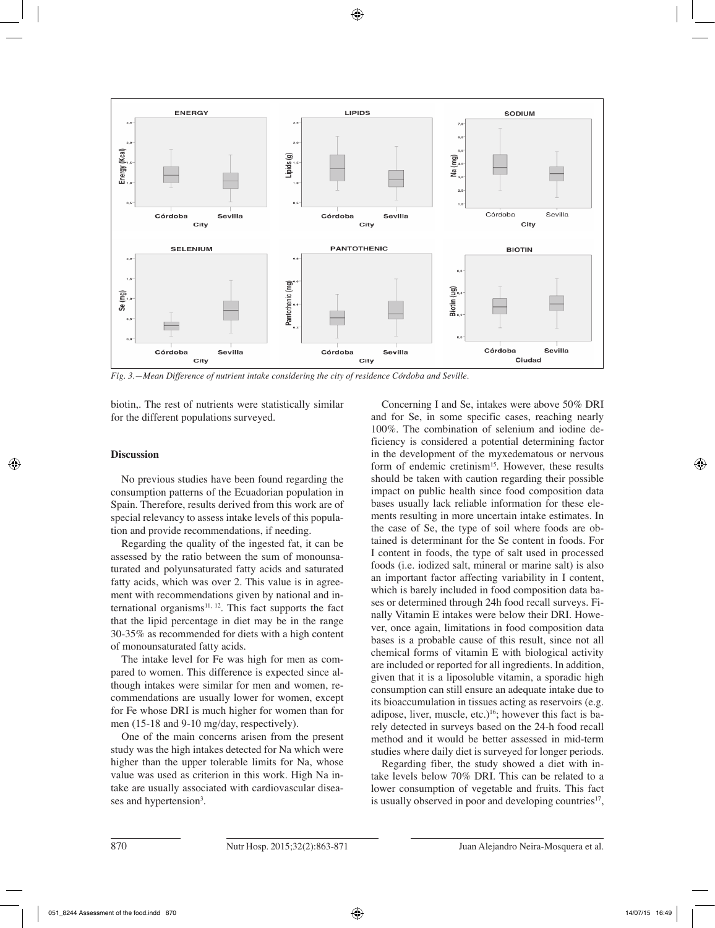

*Fig. 3.—Mean Difference of nutrient intake considering the city of residence Córdoba and Seville.*

biotin,. The rest of nutrients were statistically similar for the different populations surveyed.

## **Discussion**

No previous studies have been found regarding the consumption patterns of the Ecuadorian population in Spain. Therefore, results derived from this work are of special relevancy to assess intake levels of this population and provide recommendations, if needing.

Regarding the quality of the ingested fat, it can be assessed by the ratio between the sum of monounsaturated and polyunsaturated fatty acids and saturated fatty acids, which was over 2. This value is in agreement with recommendations given by national and international organisms $11, 12$ . This fact supports the fact that the lipid percentage in diet may be in the range 30-35% as recommended for diets with a high content of monounsaturated fatty acids.

The intake level for Fe was high for men as compared to women. This difference is expected since although intakes were similar for men and women, recommendations are usually lower for women, except for Fe whose DRI is much higher for women than for men (15-18 and 9-10 mg/day, respectively).

One of the main concerns arisen from the present study was the high intakes detected for Na which were higher than the upper tolerable limits for Na, whose value was used as criterion in this work. High Na intake are usually associated with cardiovascular diseases and hypertension<sup>3</sup>.

Concerning I and Se, intakes were above 50% DRI and for Se, in some specific cases, reaching nearly 100%. The combination of selenium and iodine deficiency is considered a potential determining factor in the development of the myxedematous or nervous form of endemic cretinism<sup>15</sup>. However, these results should be taken with caution regarding their possible impact on public health since food composition data bases usually lack reliable information for these elements resulting in more uncertain intake estimates. In the case of Se, the type of soil where foods are obtained is determinant for the Se content in foods. For I content in foods, the type of salt used in processed foods (i.e. iodized salt, mineral or marine salt) is also an important factor affecting variability in I content, which is barely included in food composition data bases or determined through 24h food recall surveys. Finally Vitamin E intakes were below their DRI. However, once again, limitations in food composition data bases is a probable cause of this result, since not all chemical forms of vitamin E with biological activity are included or reported for all ingredients. In addition, given that it is a liposoluble vitamin, a sporadic high consumption can still ensure an adequate intake due to its bioaccumulation in tissues acting as reservoirs (e.g. adipose, liver, muscle, etc.)<sup>16</sup>; however this fact is barely detected in surveys based on the 24-h food recall method and it would be better assessed in mid-term studies where daily diet is surveyed for longer periods.

Regarding fiber, the study showed a diet with intake levels below 70% DRI. This can be related to a lower consumption of vegetable and fruits. This fact is usually observed in poor and developing countries<sup>17</sup>,